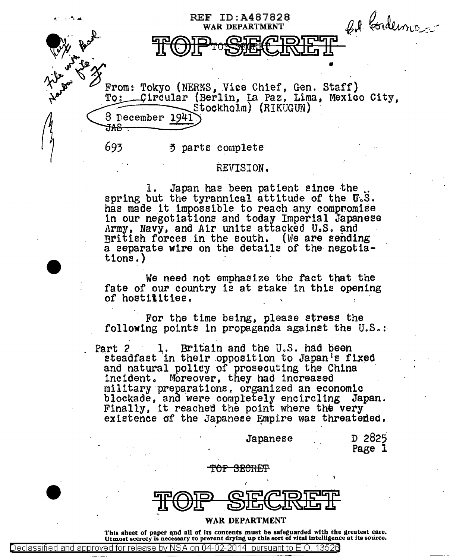F ID:A487828<br>WARDEPARTMENT *Q.I. Cordunis* **REF ID:A487828 the diagonal intervention of the state of the state of the state of the state of the state of the state of the** From: Tokyo (NERNS, Vice Chief, Gen. Staff)<br>To: Circular (Berlin, La Paz, Lima, Mexico City,<br>Stockholm) (RIKUGUN)  $\begin{array}{cc}\n & \text{Stockholm)} \\
\hline\n\frac{3 \text{ December } 1941}}{363 \text{ 3 parts complete}}\n\end{array}$ **693 3 parts complete** 

## REVISION.

1. Japan has been patient since the spring but the tyrannical attitude of the  $U_sS$ .<br>has made it impossible to reach any compromise in our negotiations and today Imperial Japanese<br>Army, Navy, and Air units attacked U.S. and British forces.in the south. (We are eending a separate wire on the details of the negotia-<br>tions.)

We need not emphasize the fact that the fate of our country is at stake in this opening of hostilities.

For the time being, please stress the following points in propaganda against the  $U.S.:$ 

Part 2 1. Britain and the U.S. had been steadfast in their opposition to Japan's fixed and natural policy of prosecuting the China incident. Moreover, they had increased military preparations, organized an economic<br>blockade. and were completely encircling Japan. blockade, and were completely encircling Japan.<br>Finally, it reached the point where the very<br>existence of the Japanese Empire was threatened.

Japanese

n· 2825 Page 1

## TOP SECRET

•

WAR DEPARTMENT

Declassified and approved for release by NSA on 04-02-2014 pursuant to E.O. 13526

This sheet of paper and all of its contents must be safeguarded with the greatest care. Utmost secrecy is necessary to prevent drying up this sort of vital intelligence at its source.